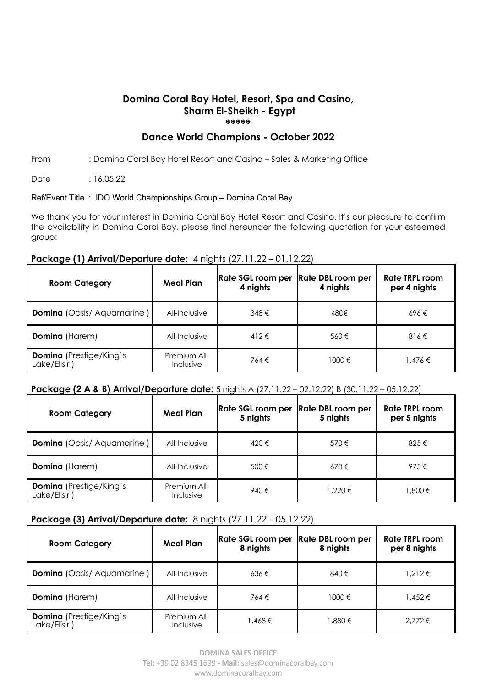#### **Domina Coral Bay Hotel, Resort, Spa and Casino, Sharm El-Sheikh - Egypt \*\*\*\*\***

## **Dance World Champions - October 2022**

#### From : Domina Coral Bay Hotel Resort and Casino – Sales & Marketing Office

Date : 16.05.22

#### Ref/Event Title : IDO World Championships Group – Domina Coral Bay

We thank you for your interest in Domina Coral Bay Hotel Resort and Casino. It's our pleasure to confirm the availability in Domina Coral Bay, please find hereunder the following quotation for your esteemed group:

#### **Package (1) Arrival/Departure date:** 4 nights (27.11.22 – 01.12.22)

| <b>Room Category</b>                           | <b>Meal Plan</b>                 | <b>Rate SGL room per</b><br>4 nights | Rate DBL room per<br>4 nights | <b>Rate TRPL room</b><br>per 4 nights |
|------------------------------------------------|----------------------------------|--------------------------------------|-------------------------------|---------------------------------------|
| <b>Domina</b> (Oasis/Aquamarine)               | All-Inclusive                    | 348€                                 | 480€                          | 696€                                  |
| <b>Domina</b> (Harem)                          | All-Inclusive                    | $412 \in$                            | 560€                          | $816 \in$                             |
| <b>Domina</b> (Prestige/King's<br>Lake/Elisir) | Premium All-<br><b>Inclusive</b> | 764€                                 | 1000 €                        | 1.476 €                               |

### **Package (2 A & B) Arrival/Departure date:** 5 nights A (27.11.22 – 02.12.22) B (30.11.22 – 05.12.22)

| <b>Room Category</b>                           | <b>Meal Plan</b>                 | <b>Rate SGL room per</b><br>5 nights | <b>Rate DBL room per</b><br>5 nights | Rate TRPL room<br>per 5 nights |
|------------------------------------------------|----------------------------------|--------------------------------------|--------------------------------------|--------------------------------|
| <b>Domina</b> (Oasis/Aquamarine)               | All-Inclusive                    | 420€                                 | 570€                                 | 825€                           |
| <b>Domina</b> (Harem)                          | All-Inclusive                    | 500€                                 | 670€                                 | 975€                           |
| <b>Domina</b> (Prestige/King's<br>Lake/Elisir) | Premium All-<br><b>Inclusive</b> | 940€                                 | 1.220 €                              | 1,800 €                        |

### **Package (3) Arrival/Departure date:** 8 nights (27.11.22 – 05.12.22)

| <b>Room Category</b>                          | <b>Meal Plan</b>                 | <b>Rate SGL room per</b><br>8 nights | Rate DBL room per<br>8 nights | Rate TRPL room<br>per 8 nights |
|-----------------------------------------------|----------------------------------|--------------------------------------|-------------------------------|--------------------------------|
| <b>Domina</b> (Oasis/Aquamarine)              | All-Inclusive                    | $636 \in$                            | 840€                          | .212€                          |
| <b>Domina</b> (Harem)                         | All-Inclusive                    | 764€                                 | 1000 €                        | 1,452 €                        |
| <b>Domina</b> (Prestige/King's<br>Lake/Elisir | Premium All-<br><b>Inclusive</b> | 1.468 €                              | 1,880 €                       | $2.772 \in$                    |